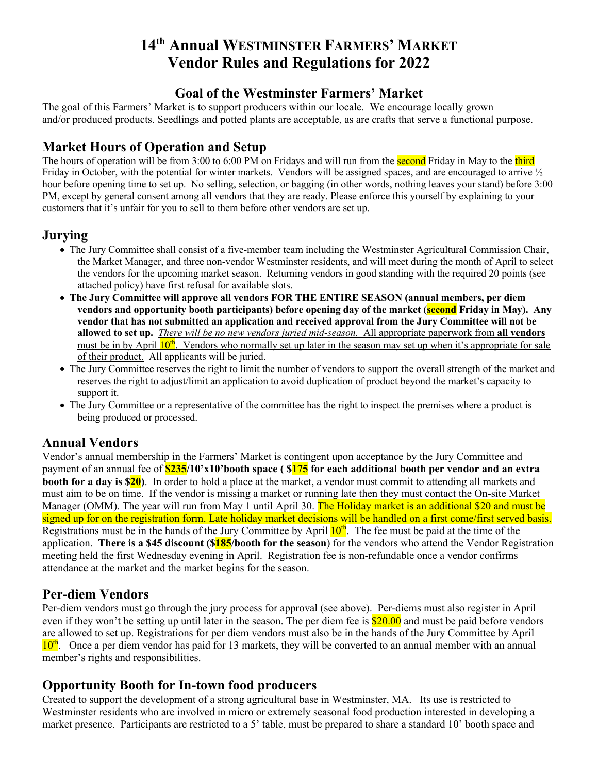# **14th Annual WESTMINSTER FARMERS' MARKET Vendor Rules and Regulations for 2022**

### **Goal of the Westminster Farmers' Market**

The goal of this Farmers' Market is to support producers within our locale. We encourage locally grown and/or produced products. Seedlings and potted plants are acceptable, as are crafts that serve a functional purpose.

## **Market Hours of Operation and Setup**

The hours of operation will be from 3:00 to 6:00 PM on Fridays and will run from the **second** Friday in May to the third Friday in October, with the potential for winter markets. Vendors will be assigned spaces, and are encouraged to arrive <sup>1/2</sup> hour before opening time to set up. No selling, selection, or bagging (in other words, nothing leaves your stand) before 3:00 PM, except by general consent among all vendors that they are ready. Please enforce this yourself by explaining to your customers that it's unfair for you to sell to them before other vendors are set up.

#### **Jurying**

- The Jury Committee shall consist of a five-member team including the Westminster Agricultural Commission Chair, the Market Manager, and three non-vendor Westminster residents, and will meet during the month of April to select the vendors for the upcoming market season. Returning vendors in good standing with the required 20 points (see attached policy) have first refusal for available slots.
- **The Jury Committee will approve all vendors FOR THE ENTIRE SEASON (annual members, per diem vendors and opportunity booth participants) before opening day of the market (second Friday in May). Any vendor that has not submitted an application and received approval from the Jury Committee will not be allowed to set up.** *There will be no new vendors juried mid-season.* All appropriate paperwork from **all vendors** must be in by April  $10^{th}$ . Vendors who normally set up later in the season may set up when it's appropriate for sale of their product. All applicants will be juried.
- The Jury Committee reserves the right to limit the number of vendors to support the overall strength of the market and reserves the right to adjust/limit an application to avoid duplication of product beyond the market's capacity to support it.
- The Jury Committee or a representative of the committee has the right to inspect the premises where a product is being produced or processed.

### **Annual Vendors**

Vendor's annual membership in the Farmers' Market is contingent upon acceptance by the Jury Committee and payment of an annual fee of **\$235/10'x10'booth space ( \$175 for each additional booth per vendor and an extra booth for a day is \$20**). In order to hold a place at the market, a vendor must commit to attending all markets and must aim to be on time. If the vendor is missing a market or running late then they must contact the On-site Market Manager (OMM). The year will run from May 1 until April 30. The Holiday market is an additional \$20 and must be signed up for on the registration form. Late holiday market decisions will be handled on a first come/first served basis. Registrations must be in the hands of the Jury Committee by April  $10<sup>th</sup>$ . The fee must be paid at the time of the application. **There is a \$45 discount (\$185/booth for the season**) for the vendors who attend the Vendor Registration meeting held the first Wednesday evening in April. Registration fee is non-refundable once a vendor confirms attendance at the market and the market begins for the season.

#### **Per-diem Vendors**

Per-diem vendors must go through the jury process for approval (see above). Per-diems must also register in April even if they won't be setting up until later in the season. The per diem fee is \$20.00 and must be paid before vendors are allowed to set up. Registrations for per diem vendors must also be in the hands of the Jury Committee by April  $10<sup>th</sup>$ . Once a per diem vendor has paid for 13 markets, they will be converted to an annual member with an annual member's rights and responsibilities.

### **Opportunity Booth for In-town food producers**

Created to support the development of a strong agricultural base in Westminster, MA. Its use is restricted to Westminster residents who are involved in micro or extremely seasonal food production interested in developing a market presence. Participants are restricted to a 5' table, must be prepared to share a standard 10' booth space and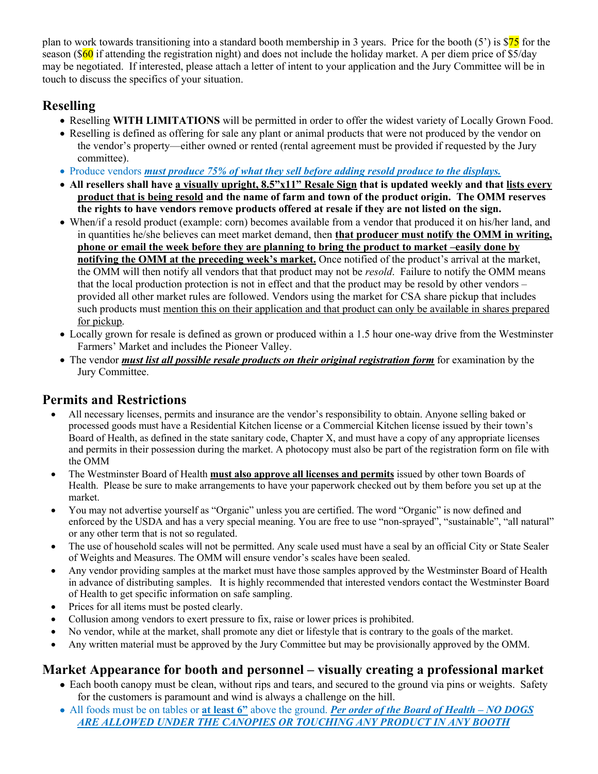plan to work towards transitioning into a standard booth membership in 3 years. Price for the booth  $(5')$  is \$75 for the season ( $\frac{60}{1}$  if attending the registration night) and does not include the holiday market. A per diem price of \$5/day may be negotiated. If interested, please attach a letter of intent to your application and the Jury Committee will be in touch to discuss the specifics of your situation.

## **Reselling**

- Reselling **WITH LIMITATIONS** will be permitted in order to offer the widest variety of Locally Grown Food.
- Reselling is defined as offering for sale any plant or animal products that were not produced by the vendor on the vendor's property—either owned or rented (rental agreement must be provided if requested by the Jury committee).
- Produce vendors *must produce 75% of what they sell before adding resold produce to the displays.*
- **All resellers shall have a visually upright, 8.5"x11" Resale Sign that is updated weekly and that lists every product that is being resold and the name of farm and town of the product origin. The OMM reserves the rights to have vendors remove products offered at resale if they are not listed on the sign.**
- When/if a resold product (example: corn) becomes available from a vendor that produced it on his/her land, and in quantities he/she believes can meet market demand, then **that producer must notify the OMM in writing, phone or email the week before they are planning to bring the product to market –easily done by notifying the OMM at the preceding week's market.** Once notified of the product's arrival at the market, the OMM will then notify all vendors that that product may not be *resold*. Failure to notify the OMM means that the local production protection is not in effect and that the product may be resold by other vendors – provided all other market rules are followed. Vendors using the market for CSA share pickup that includes such products must mention this on their application and that product can only be available in shares prepared for pickup.
- Locally grown for resale is defined as grown or produced within a 1.5 hour one-way drive from the Westminster Farmers' Market and includes the Pioneer Valley.
- The vendor *must list all possible resale products on their original registration form* for examination by the Jury Committee.

## **Permits and Restrictions**

- All necessary licenses, permits and insurance are the vendor's responsibility to obtain. Anyone selling baked or processed goods must have a Residential Kitchen license or a Commercial Kitchen license issued by their town's Board of Health, as defined in the state sanitary code, Chapter X, and must have a copy of any appropriate licenses and permits in their possession during the market. A photocopy must also be part of the registration form on file with the OMM
- The Westminster Board of Health **must also approve all licenses and permits** issued by other town Boards of Health. Please be sure to make arrangements to have your paperwork checked out by them before you set up at the market.
- You may not advertise yourself as "Organic" unless you are certified. The word "Organic" is now defined and enforced by the USDA and has a very special meaning. You are free to use "non-sprayed", "sustainable", "all natural" or any other term that is not so regulated.
- The use of household scales will not be permitted. Any scale used must have a seal by an official City or State Sealer of Weights and Measures. The OMM will ensure vendor's scales have been sealed.
- Any vendor providing samples at the market must have those samples approved by the Westminster Board of Health in advance of distributing samples. It is highly recommended that interested vendors contact the Westminster Board of Health to get specific information on safe sampling.
- Prices for all items must be posted clearly.
- Collusion among vendors to exert pressure to fix, raise or lower prices is prohibited.
- No vendor, while at the market, shall promote any diet or lifestyle that is contrary to the goals of the market.
- Any written material must be approved by the Jury Committee but may be provisionally approved by the OMM.

## **Market Appearance for booth and personnel – visually creating a professional market**

- Each booth canopy must be clean, without rips and tears, and secured to the ground via pins or weights. Safety for the customers is paramount and wind is always a challenge on the hill.
- All foods must be on tables or **at least 6"** above the ground. *Per order of the Board of Health – NO DOGS ARE ALLOWED UNDER THE CANOPIES OR TOUCHING ANY PRODUCT IN ANY BOOTH*